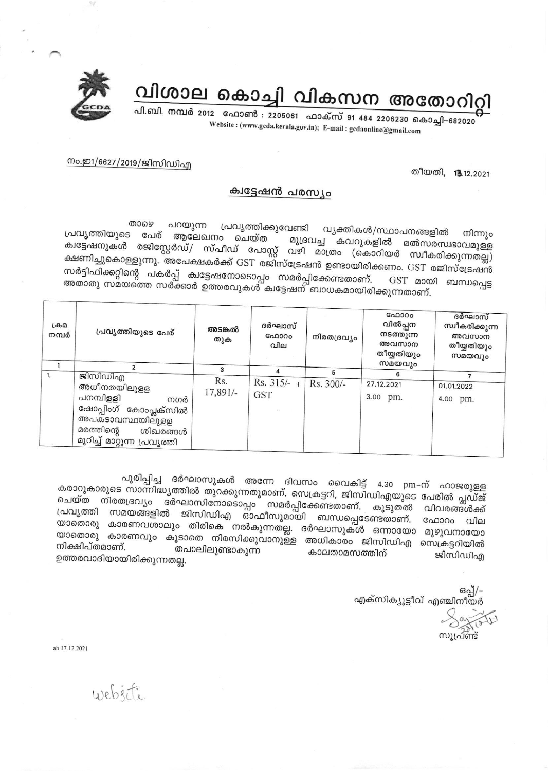വിശാല കൊച്ചി വികസന അതോറിറ്റി



പി.ബി. നമ്പർ 2012 ഫോൺ : 2205061 ഫാക്സ് 91 484 2206230 കൊച്ചി–682020 Website: (www.gcda.kerala.gov.in); E-mail: gcdaonline@gmail.com

നം.ഇ1/6627/2019/ജിസിഡിഎ

തീയതി. 13.12.2021

## ക്വട്ടേഷൻ പരസ്യം

താഴെ പറയുന്ന പ്രവൃത്തിക്കുവേണ്ടി വ്യക്തികൾ/സ്ഥാപനങ്ങളിൽ പ്രവൃത്തിയുടെ പേര് ആലേഖനം ചെയ്ത നിന്നും മുദ്രവച്ച കവറുകളിൽ മൽസരസ്വഭാവമുള്ള ക്വട്ടേഷനുകൾ രജിസ്റ്റേർഡ്/ സ്പീഡ് പോസ്റ്റ് വഴി മാത്രം (കൊറിയർ സ്വീകരിക്കുന്നതല്ല) ക്ഷണിച്ചുകൊള്ളുന്നു. ര്മ്മേക്ഷകർക്ക് GST രജിസ്ട്രേഷൻ ഉണ്ടായിരിക്കണം. GST രജിസ്ട്രേഷൻ സർട്ടിഫിക്കറ്റിന്റെ പകർപ്പ് ക്വട്ടേഷനോടൊപ്പം സമർപ്പിക്കേണ്ടതാണ്. GST മായ<br>അതാതു സമയത്തെ സർക്കാർ ഉത്തരവുകൾ ക്വട്ടേഷന് ബാധകമായിരിക്കുന്നതാണ്. GST മായി ബന്ധപ്പെട്ട

|    | $L \oplus \Omega$<br>പ്രവൃത്തിയുടെ പേര്<br>നമ്പർ                                                                                       | അടങ്കൽ<br>തുക   | ദർഘാസ്<br>ഫോറം<br>വില       | നിരതദ്രവ്യം | ഫോറം<br>വിൽപ്പന<br>നടത്തുന്ന<br>അവസാന<br>തീയ്യതിയും<br>സമയവും | ദർഘാസ്<br>സ്വീകരിക്കുന്ന<br>അവസാന<br>തീയ്യതിയും<br>സമയവും |
|----|----------------------------------------------------------------------------------------------------------------------------------------|-----------------|-----------------------------|-------------|---------------------------------------------------------------|-----------------------------------------------------------|
| 1. | ജിസിഡിഎ                                                                                                                                |                 |                             | 5           | 6                                                             |                                                           |
|    | അധീനതയിലുളള<br>പനമ്പിള്ളി<br>നഗർ<br>ഷോപ്പിംഗ് കോംപ്ലക്സിൽ<br>അപകടാവസ്ഥയിലുളള<br>മരത്തിന്റെ<br>ശിഖരങ്ങൾ<br>മുറിച്ച് മാറ്റുന്ന പ്രവൃത്തി | Rs.<br>17,891/- | $Rs. 315/- +$<br><b>GST</b> | Rs. 300/-   | 27.12.2021<br>3.00 pm.                                        | 01.01.2022<br>4.00 pm.                                    |

പൂരിപ്പിച്ച ദർഘാസുകൾ അന്നേ ദിവസം വൈകിട്ട് 4.30 pm–ന് ഹാജരുള്ള കരാറുകാരുടെ സാന്നിദ്ധ്യത്തിൽ തുറക്കുന്നതുമാണ്. സെക്രട്ടറി, ജിസിഡിഎയുടെ പേരിൽ പ്ലഡ്ജ് ചെയ്ത നിരതദ്രവ്യം ദർഘാസിനോടൊപ്പം സമർപ്പിക്കേണ്ടതാണ്. പ്രവൃത്തി സമയങ്ങളിൽ ജിസിഡിഎ ഓഫീസുമായി ബന്ധപ്പെടേണ്ടതാണ്. കൂടുതൽ വിവരങ്ങൾക്ക് ഫോറം വില യാതൊരു കാരണവശാലും തിരികെ നൽകുന്നതല്ല. ദർഘാസുകൾ ഒന്നായോ മുഴുവനായോ യാതൊരു കാരണവും കൂടാതെ നിരസിക്കുവാനുള്ള അധികാരം ജിസിഡിഎ സെക്രട്ടറിയിൽ നിക്ഷിപ്തമാണ്. തപാലിലുണ്ടാകുന്ന കാലതാമസത്തിന് ജിസിഡിഎ ഉത്തരവാദിയായിരിക്കുന്നതല്ല.

ഒപ്പ്/-എക്സിക്യൂട്ടീവ് എഞ്ചിനീയർ സുഫ്രണ്ട്

ab 17.12.2021

website